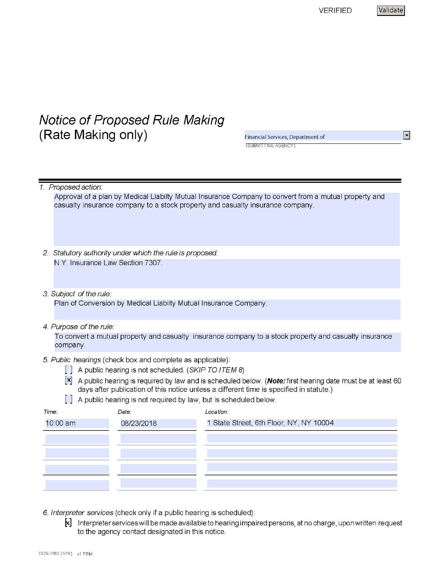## VERIFIED Validate

 $\overline{\phantom{a}}$ 

# **Notice of Proposed Rule Making (Rate Making only)**

Financial Services, Department of (SUBMITTING AGENCY)

| 1. Proposed action: |
|---------------------|
|                     |

Approval of a plan by Medical Liabilty Mutual Insurance Company to convert from a mutual property and casualty insurance company to a stock property and casualty insurance company.

- 2. Statutory authority under which the rule is proposed: N.Y. Insurance Law Section 7307.
- 3. Subject of the rule:

Plan of Conversion by Medical Liabilty Mutual Insurance Company.

#### 4. Purpose of the rule:

To convert a mutual property and casualty insurance company to a stock property and casualty insurance company.

- 5. Public hearings (check box and complete as applicable):
	- $\Box$  A public hearing is not scheduled. (SKIP TO ITEM 8)
	- **[x]** A public hearing is required by law and is scheduled below. **(Note:first** hearing date must be at least 60 days after publication of this notice unless a different time is specified in statute.)
	- $\left[\begin{array}{ccc} \end{array}\right]$  A public hearing is not required by law, but is scheduled below.

| Time:    | Date:      | Location:                               |  |
|----------|------------|-----------------------------------------|--|
| 10:00 am | 08/23/2018 | 1 State Street, 6th Floor, NY, NY 10004 |  |
|          |            |                                         |  |
|          |            |                                         |  |
|          |            |                                         |  |
|          |            |                                         |  |
|          |            |                                         |  |

- 6. Interpreter services (check only if a public hearing is scheduled):
	- $\bm{k}$ ] Interpreter services will be made available to hearing impaired persons, at no charge, upon written request to the agency contact designated in this notice.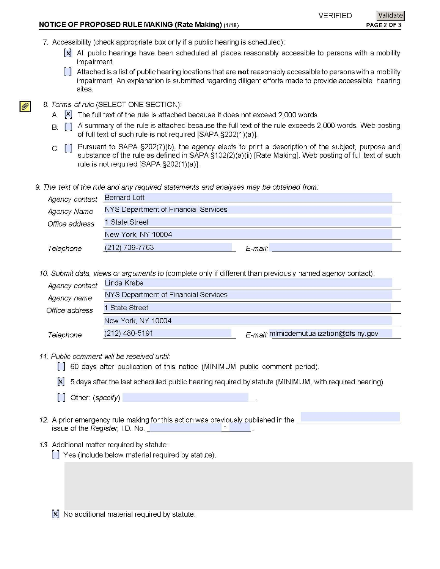| <b>NOTICE OF PROPOSED RULE MAKING (Rate Making) (1/18)</b> |          | PAGE 2 OF 3 |
|------------------------------------------------------------|----------|-------------|
|                                                            | VERIFIED | Validate    |

7. Accessibility (check appropriate box only if a public hearing is scheduled):

- [x] All public hearings have been scheduled at places reasonably accessible to persons with a mobility impairment.
- [ ] Attached is a list of public hearing locations that are **not** reasonably accessible to persons with a mobility impairment. An explanation is submitted regarding diligent efforts made to provide accessible hearing sites.
- 8. Terms ofrule (SELECT ONE SECTION):

 $\mathscr{D}$ 

- A.  $[\mathsf{x}]$  The full text of the rule is attached because it does not exceed 2,000 words.
- B. [ ] A summary of the rule is attached because the full text of the rule exceeds 2,000 words. Web posting of full text of such rule is not required [SAPA §202(1 )(a)].
- c. [ ] Pursuant to SAPA §202(7)(b), the agency elects to print a description of the subject, purpose and substance of the rule as defined in SAPA §102(2)(a)(ii) [Rate Making]. Web posting of full text of such rule is not required [SAPA §202(1)(a)].
- 9. The text of the rule and any required statements and analyses may be obtained from:

| Agency contact     | <b>Bernard Lott</b>                  |         |
|--------------------|--------------------------------------|---------|
| <b>Agency Name</b> | NYS Department of Financial Services |         |
| Office address     | 1 State Street                       |         |
|                    | New York, NY 10004                   |         |
| Telephone          | (212) 709-7763                       | E-mail: |

10. Submit data, views or arguments to (complete only if different than previously named agency contact):

|                | ar mentent and the state are multiple in the collection and in the community for a created international and community |                                         |
|----------------|------------------------------------------------------------------------------------------------------------------------|-----------------------------------------|
| Agency contact | Linda Krebs                                                                                                            |                                         |
| Agency name    | NYS Department of Financial Services                                                                                   |                                         |
| Office address | 1 State Street                                                                                                         |                                         |
|                | New York, NY 10004                                                                                                     |                                         |
| Telephone      | (212) 480-5191                                                                                                         | E-mail: mimicdemutualization@dfs.ny.gov |

11. Public comment will be received until:

[] 60 days after publication of this notice (MINIMUM public comment period).

[x] 5 days after the last scheduled public hearing required by statute (MINIM UM, with required hearing).

- $\begin{bmatrix} \end{bmatrix}$  Other: (specify)
- 12. A prior emergency rule making for this action was previously published in the **Letter Action and the state of** issue of the Register, I.D. No. \_ \_\_\_\_\_\_\_ \_ \_\_\_
- 13. Additional matter required by statute:
	- [] Yes (include below material required by statute).

**[x]** No additional material required by statute.